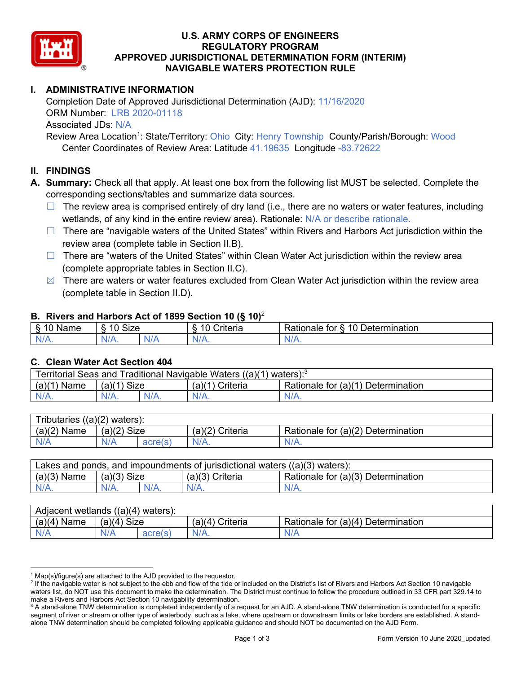

## **U.S. ARMY CORPS OF ENGINEERS REGULATORY PROGRAM APPROVED JURISDICTIONAL DETERMINATION FORM (INTERIM) NAVIGABLE WATERS PROTECTION RULE**

# **I. ADMINISTRATIVE INFORMATION**

Completion Date of Approved Jurisdictional Determination (AJD): 11/16/2020 ORM Number: LRB 2020-01118 Associated JDs: N/A

Review Area Location<sup>1</sup>: State/Territory: Ohio City: Henry Township County/Parish/Borough: Wood Center Coordinates of Review Area: Latitude 41.19635 Longitude -83.72622

## **II. FINDINGS**

**A. Summary:** Check all that apply. At least one box from the following list MUST be selected. Complete the corresponding sections/tables and summarize data sources.

- $\Box$  The review area is comprised entirely of dry land (i.e., there are no waters or water features, including wetlands, of any kind in the entire review area). Rationale: N/A or describe rationale.
- $\Box$  There are "navigable waters of the United States" within Rivers and Harbors Act jurisdiction within the review area (complete table in Section II.B).
- ☐ There are "waters of the United States" within Clean Water Act jurisdiction within the review area (complete appropriate tables in Section II.C).
- $\boxtimes$  There are waters or water features excluded from Clean Water Act jurisdiction within the review area (complete table in Section II.D).

### **B. Rivers and Harbors Act of 1899 Section 10 (§ 10)**<sup>2</sup>

| $\cdot$                   |                      |  |                        |                                                           |  |
|---------------------------|----------------------|--|------------------------|-----------------------------------------------------------|--|
| $\sim$<br>.<br>lame<br>`` | $\sim$<br>10<br>SIZE |  | . .<br>`riteria<br>. . | $\sim$ 10 $\Gamma$ .<br>Determination<br>tor<br>≺ationale |  |
| $N/A$ .                   | NI/4<br>17.          |  | N.<br>,,,,,,           | NI.<br>$\mathbf{v}$                                       |  |

### **C. Clean Water Act Section 404**

| Territorial Seas and Traditional Navigable Waters $((a)(1)$ waters): <sup>3</sup> |                |  |                   |                                    |  |
|-----------------------------------------------------------------------------------|----------------|--|-------------------|------------------------------------|--|
| (a)(1)<br>Name                                                                    | Size<br>(a)(1) |  | $(a)(1)$ Criteria | Rationale for (a)(1) Determination |  |
|                                                                                   | $N/A$ .        |  | $N/A$ .           | $N/A$ .                            |  |

| $((a)(2)$ waters):<br><b>Tributaries</b> |                |                |                    |                                    |  |  |
|------------------------------------------|----------------|----------------|--------------------|------------------------------------|--|--|
| (a)(2)<br>Name                           | Size<br>(a)(2) |                | (a)(2)<br>Criteria | Rationale for (a)(2) Determination |  |  |
| N/A                                      | N/A            | acrole<br>auus | $N/A$ .            | $N/A$ .                            |  |  |

| Lakes and ponds, and impoundments of jurisdictional waters $((a)(3)$ waters): |               |         |                   |                                    |  |
|-------------------------------------------------------------------------------|---------------|---------|-------------------|------------------------------------|--|
| $(a)(3)$ Name                                                                 | $(a)(3)$ Size |         | $(a)(3)$ Criteria | Rationale for (a)(3) Determination |  |
| $N/A$ .                                                                       |               | $N/A$ . | $N/A$ .           | $N/A$ .                            |  |

| Adjacent wetlands $((a)(4)$ waters): |                |                           |                    |                                    |  |  |
|--------------------------------------|----------------|---------------------------|--------------------|------------------------------------|--|--|
| (a)(4)<br>Name                       | Size<br>(a)(4) |                           | Criteria<br>(a)(4) | Rationale for (a)(4) Determination |  |  |
| N/A                                  | N/A            | $\Box$ acraic.<br>aultio. | $N/A$ .            | N/k                                |  |  |

 $1$  Map(s)/figure(s) are attached to the AJD provided to the requestor.

<sup>&</sup>lt;sup>2</sup> If the navigable water is not subject to the ebb and flow of the tide or included on the District's list of Rivers and Harbors Act Section 10 navigable waters list, do NOT use this document to make the determination. The District must continue to follow the procedure outlined in 33 CFR part 329.14 to make a Rivers and Harbors Act Section 10 navigability determination.

<sup>&</sup>lt;sup>3</sup> A stand-alone TNW determination is completed independently of a request for an AJD. A stand-alone TNW determination is conducted for a specific segment of river or stream or other type of waterbody, such as a lake, where upstream or downstream limits or lake borders are established. A standalone TNW determination should be completed following applicable guidance and should NOT be documented on the AJD Form.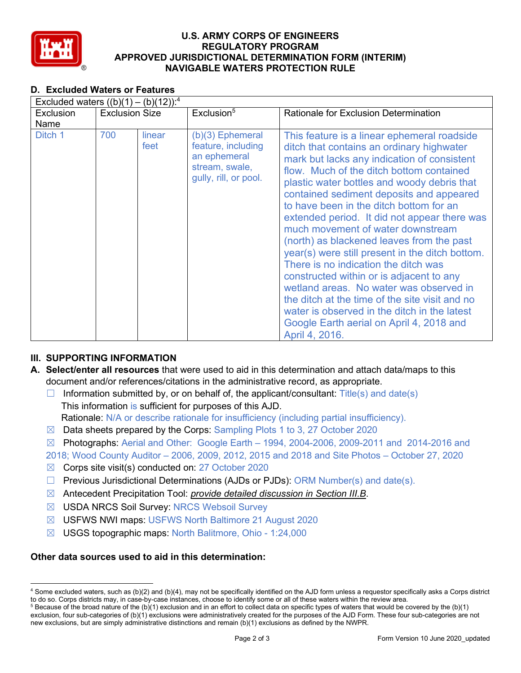

## **U.S. ARMY CORPS OF ENGINEERS REGULATORY PROGRAM APPROVED JURISDICTIONAL DETERMINATION FORM (INTERIM) NAVIGABLE WATERS PROTECTION RULE**

# **D. Excluded Waters or Features**

| Excluded waters $((b)(1) - (b)(12))$ : <sup>4</sup> |                       |                |                                                                                                   |                                                                                                                                                                                                                                                                                                                                                                                                                                                                                                                                                                                                                                                                                                                                                                                                               |  |  |
|-----------------------------------------------------|-----------------------|----------------|---------------------------------------------------------------------------------------------------|---------------------------------------------------------------------------------------------------------------------------------------------------------------------------------------------------------------------------------------------------------------------------------------------------------------------------------------------------------------------------------------------------------------------------------------------------------------------------------------------------------------------------------------------------------------------------------------------------------------------------------------------------------------------------------------------------------------------------------------------------------------------------------------------------------------|--|--|
| Exclusion                                           | <b>Exclusion Size</b> |                | Exclusion <sup>5</sup>                                                                            | <b>Rationale for Exclusion Determination</b>                                                                                                                                                                                                                                                                                                                                                                                                                                                                                                                                                                                                                                                                                                                                                                  |  |  |
| Name                                                |                       |                |                                                                                                   |                                                                                                                                                                                                                                                                                                                                                                                                                                                                                                                                                                                                                                                                                                                                                                                                               |  |  |
| Ditch 1                                             | 700                   | linear<br>feet | (b)(3) Ephemeral<br>feature, including<br>an ephemeral<br>stream, swale,<br>gully, rill, or pool. | This feature is a linear ephemeral roadside<br>ditch that contains an ordinary highwater<br>mark but lacks any indication of consistent<br>flow. Much of the ditch bottom contained<br>plastic water bottles and woody debris that<br>contained sediment deposits and appeared<br>to have been in the ditch bottom for an<br>extended period. It did not appear there was<br>much movement of water downstream<br>(north) as blackened leaves from the past<br>year(s) were still present in the ditch bottom.<br>There is no indication the ditch was<br>constructed within or is adjacent to any<br>wetland areas. No water was observed in<br>the ditch at the time of the site visit and no<br>water is observed in the ditch in the latest<br>Google Earth aerial on April 4, 2018 and<br>April 4, 2016. |  |  |

## **III. SUPPORTING INFORMATION**

- **A. Select/enter all resources** that were used to aid in this determination and attach data/maps to this document and/or references/citations in the administrative record, as appropriate.
	- $\Box$  Information submitted by, or on behalf of, the applicant/consultant: Title(s) and date(s) This information is sufficient for purposes of this AJD. Rationale: N/A or describe rationale for insufficiency (including partial insufficiency).
	- $\boxtimes$  Data sheets prepared by the Corps: Sampling Plots 1 to 3, 27 October 2020
	- $\boxtimes$  Photographs: Aerial and Other: Google Earth 1994, 2004-2006, 2009-2011 and 2014-2016 and
	- 2018; Wood County Auditor 2006, 2009, 2012, 2015 and 2018 and Site Photos October 27, 2020
	- ☒ Corps site visit(s) conducted on: 27 October 2020
	- $\Box$  Previous Jurisdictional Determinations (AJDs or PJDs): ORM Number(s) and date(s).
	- ☒ Antecedent Precipitation Tool: *provide detailed discussion in Section III.B*.
	- ☒ USDA NRCS Soil Survey: NRCS Websoil Survey
	- ☒ USFWS NWI maps: USFWS North Baltimore 21 August 2020
	- ☒ USGS topographic maps: North Balitmore, Ohio 1:24,000

### **Other data sources used to aid in this determination:**

<sup>4</sup> Some excluded waters, such as (b)(2) and (b)(4), may not be specifically identified on the AJD form unless a requestor specifically asks a Corps district to do so. Corps districts may, in case-by-case instances, choose to identify some or all of these waters within the review area.

 $5$  Because of the broad nature of the (b)(1) exclusion and in an effort to collect data on specific types of waters that would be covered by the (b)(1) exclusion, four sub-categories of (b)(1) exclusions were administratively created for the purposes of the AJD Form. These four sub-categories are not new exclusions, but are simply administrative distinctions and remain (b)(1) exclusions as defined by the NWPR.